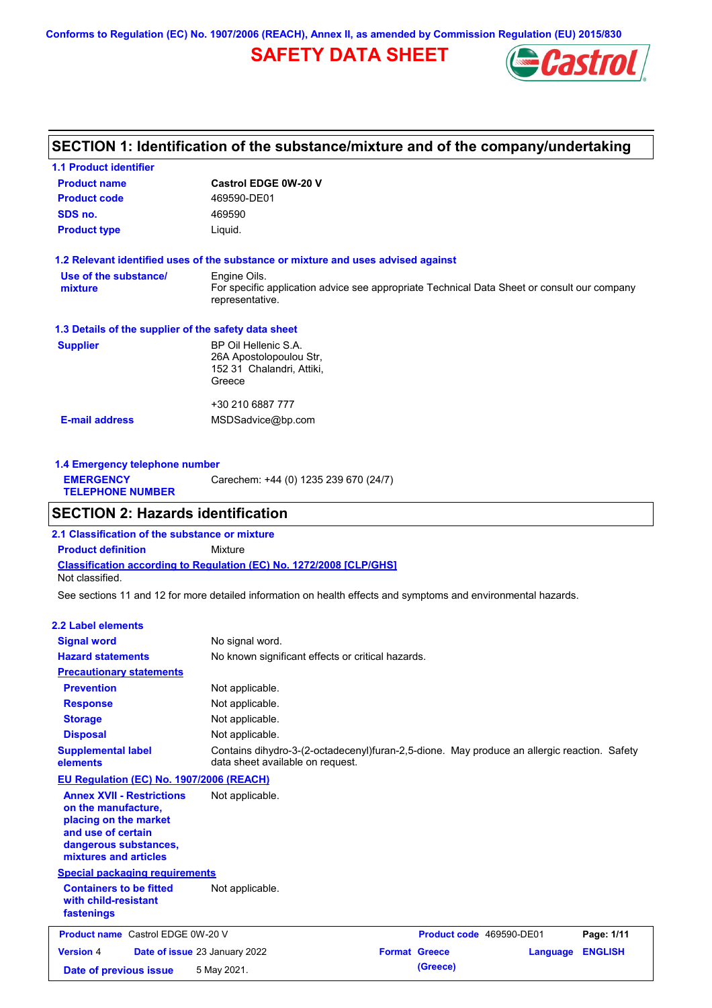**Conforms to Regulation (EC) No. 1907/2006 (REACH), Annex II, as amended by Commission Regulation (EU) 2015/830**

## **SAFETY DATA SHEET**



## **SECTION 1: Identification of the substance/mixture and of the company/undertaking**

| <b>1.1 Product identifier</b>                        |                                                                                                                |
|------------------------------------------------------|----------------------------------------------------------------------------------------------------------------|
| <b>Product name</b>                                  | <b>Castrol EDGE 0W-20 V</b>                                                                                    |
| <b>Product code</b>                                  | 469590-DE01                                                                                                    |
| SDS no.                                              | 469590                                                                                                         |
| <b>Product type</b>                                  | Liquid.                                                                                                        |
|                                                      | 1.2 Relevant identified uses of the substance or mixture and uses advised against                              |
| Use of the substance/                                | Engine Oils.                                                                                                   |
| mixture                                              | For specific application advice see appropriate Technical Data Sheet or consult our company<br>representative. |
| 1.3 Details of the supplier of the safety data sheet |                                                                                                                |
| <b>Supplier</b>                                      | BP Oil Hellenic S.A.                                                                                           |
|                                                      | 26A Apostolopoulou Str.                                                                                        |
|                                                      | 152 31 Chalandri, Attiki,                                                                                      |
|                                                      | Greece                                                                                                         |
|                                                      | +30 210 6887 777                                                                                               |
| <b>E-mail address</b>                                | MSDSadvice@bp.com                                                                                              |
|                                                      |                                                                                                                |
|                                                      |                                                                                                                |

| 1.4 Emergency telephone number              |                                       |  |  |  |
|---------------------------------------------|---------------------------------------|--|--|--|
| <b>EMERGENCY</b><br><b>TELEPHONE NUMBER</b> | Carechem: +44 (0) 1235 239 670 (24/7) |  |  |  |

### **SECTION 2: Hazards identification**

**Classification according to Regulation (EC) No. 1272/2008 [CLP/GHS] 2.1 Classification of the substance or mixture Product definition** Mixture Not classified.

See sections 11 and 12 for more detailed information on health effects and symptoms and environmental hazards.

### **2.2 Label elements**

| <b>Signal word</b><br><b>Hazard statements</b>                                                                                                           | No signal word.<br>No known significant effects or critical hazards.                                                            |                          |          |                |
|----------------------------------------------------------------------------------------------------------------------------------------------------------|---------------------------------------------------------------------------------------------------------------------------------|--------------------------|----------|----------------|
| <b>Precautionary statements</b>                                                                                                                          |                                                                                                                                 |                          |          |                |
| <b>Prevention</b>                                                                                                                                        | Not applicable.                                                                                                                 |                          |          |                |
| <b>Response</b>                                                                                                                                          | Not applicable.                                                                                                                 |                          |          |                |
| <b>Storage</b>                                                                                                                                           | Not applicable.                                                                                                                 |                          |          |                |
| <b>Disposal</b>                                                                                                                                          | Not applicable.                                                                                                                 |                          |          |                |
| <b>Supplemental label</b><br>elements                                                                                                                    | Contains dihydro-3-(2-octadecenyl)furan-2,5-dione. May produce an allergic reaction. Safety<br>data sheet available on request. |                          |          |                |
| <b>EU Regulation (EC) No. 1907/2006 (REACH)</b>                                                                                                          |                                                                                                                                 |                          |          |                |
| <b>Annex XVII - Restrictions</b><br>on the manufacture.<br>placing on the market<br>and use of certain<br>dangerous substances,<br>mixtures and articles | Not applicable.                                                                                                                 |                          |          |                |
| <b>Special packaging requirements</b>                                                                                                                    |                                                                                                                                 |                          |          |                |
| <b>Containers to be fitted</b><br>with child-resistant<br>fastenings                                                                                     | Not applicable.                                                                                                                 |                          |          |                |
| <b>Product name</b> Castrol EDGE 0W-20 V                                                                                                                 |                                                                                                                                 | Product code 469590-DE01 |          | Page: 1/11     |
| <b>Version 4</b>                                                                                                                                         | Date of issue 23 January 2022                                                                                                   | <b>Format Greece</b>     | Language | <b>ENGLISH</b> |
| Date of previous issue                                                                                                                                   | 5 May 2021.                                                                                                                     | (Greece)                 |          |                |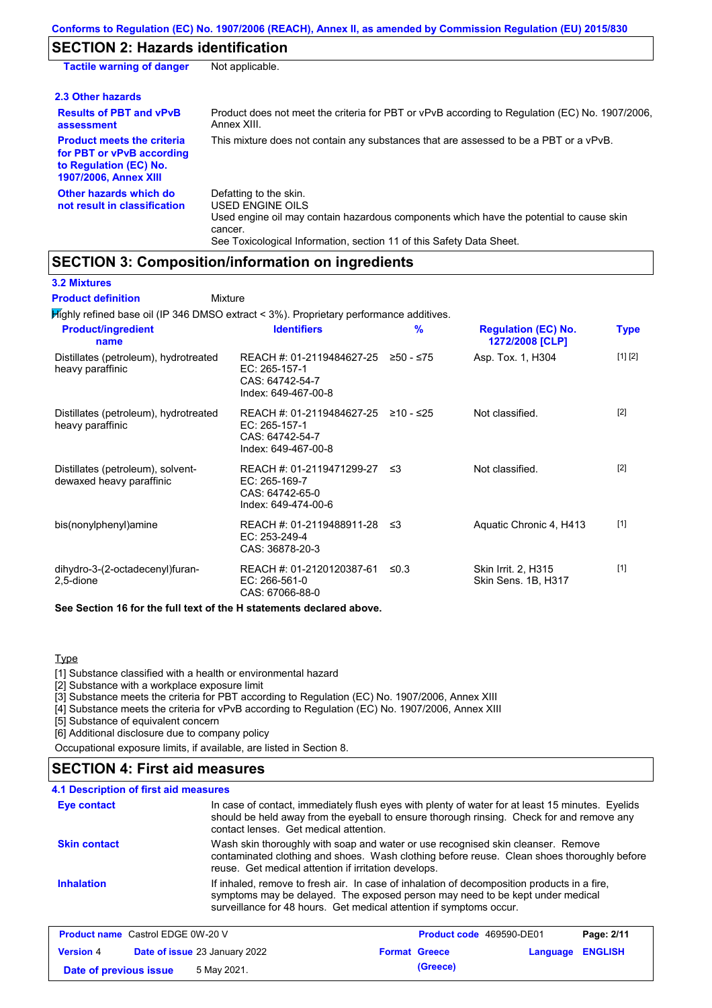## **SECTION 2: Hazards identification**

| <b>Tactile warning of danger</b>                                                                                         | Not applicable.                                                                                                                                                                                                                 |
|--------------------------------------------------------------------------------------------------------------------------|---------------------------------------------------------------------------------------------------------------------------------------------------------------------------------------------------------------------------------|
| 2.3 Other hazards                                                                                                        |                                                                                                                                                                                                                                 |
| <b>Results of PBT and vPvB</b><br>assessment                                                                             | Product does not meet the criteria for PBT or vPvB according to Regulation (EC) No. 1907/2006,<br>Annex XIII.                                                                                                                   |
| <b>Product meets the criteria</b><br>for PBT or vPvB according<br>to Regulation (EC) No.<br><b>1907/2006, Annex XIII</b> | This mixture does not contain any substances that are assessed to be a PBT or a vPvB.                                                                                                                                           |
| Other hazards which do<br>not result in classification                                                                   | Defatting to the skin.<br><b>USED ENGINE OILS</b><br>Used engine oil may contain hazardous components which have the potential to cause skin<br>cancer.<br>See Toxicological Information, section 11 of this Safety Data Sheet. |

## **SECTION 3: Composition/information on ingredients**

**3.2 Mixtures**

Mixture **Product definition**

| $H$ Mighly refined base oil (IP 346 DMSO extract < 3%). Proprietary performance additives. |                                                                                         |            |                                               |             |
|--------------------------------------------------------------------------------------------|-----------------------------------------------------------------------------------------|------------|-----------------------------------------------|-------------|
| <b>Product/ingredient</b><br>name                                                          | <b>Identifiers</b>                                                                      | %          | <b>Regulation (EC) No.</b><br>1272/2008 [CLP] | <b>Type</b> |
| Distillates (petroleum), hydrotreated<br>heavy paraffinic                                  | REACH #: 01-2119484627-25<br>EC: 265-157-1<br>CAS: 64742-54-7<br>Index: 649-467-00-8    | ≥50 - ≤75  | Asp. Tox. 1, H304                             | [1] [2]     |
| Distillates (petroleum), hydrotreated<br>heavy paraffinic                                  | REACH #: 01-2119484627-25<br>EC: 265-157-1<br>CAS: 64742-54-7<br>Index: 649-467-00-8    | ≥10 - ≤25  | Not classified.                               | $[2]$       |
| Distillates (petroleum), solvent-<br>dewaxed heavy paraffinic                              | REACH #: 01-2119471299-27 ≤3<br>EC: 265-169-7<br>CAS: 64742-65-0<br>Index: 649-474-00-6 |            | Not classified.                               | $[2]$       |
| bis(nonylphenyl)amine                                                                      | REACH #: 01-2119488911-28 ≤3<br>EC: 253-249-4<br>CAS: 36878-20-3                        |            | Aquatic Chronic 4, H413                       | $[1]$       |
| dihydro-3-(2-octadecenyl)furan-<br>2,5-dione                                               | REACH #: 01-2120120387-61<br>EC: 266-561-0<br>CAS: 67066-88-0                           | $\leq 0.3$ | Skin Irrit. 2, H315<br>Skin Sens. 1B, H317    | $[1]$       |
| See Section 16 for the full text of the H statements declared above.                       |                                                                                         |            |                                               |             |

#### **Type**

[1] Substance classified with a health or environmental hazard

[2] Substance with a workplace exposure limit

[3] Substance meets the criteria for PBT according to Regulation (EC) No. 1907/2006, Annex XIII

[4] Substance meets the criteria for vPvB according to Regulation (EC) No. 1907/2006, Annex XIII

[5] Substance of equivalent concern

[6] Additional disclosure due to company policy

Occupational exposure limits, if available, are listed in Section 8.

### **SECTION 4: First aid measures**

### **4.1 Description of first aid measures**

| <b>Eye contact</b>  | In case of contact, immediately flush eyes with plenty of water for at least 15 minutes. Eyelids<br>should be held away from the eyeball to ensure thorough rinsing. Check for and remove any<br>contact lenses. Get medical attention.             |
|---------------------|-----------------------------------------------------------------------------------------------------------------------------------------------------------------------------------------------------------------------------------------------------|
| <b>Skin contact</b> | Wash skin thoroughly with soap and water or use recognised skin cleanser. Remove<br>contaminated clothing and shoes. Wash clothing before reuse. Clean shoes thoroughly before<br>reuse. Get medical attention if irritation develops.              |
| <b>Inhalation</b>   | If inhaled, remove to fresh air. In case of inhalation of decomposition products in a fire,<br>symptoms may be delayed. The exposed person may need to be kept under medical<br>surveillance for 48 hours. Get medical attention if symptoms occur. |

| <b>Product name</b> Castrol EDGE 0W-20 V |  | Product code 469590-DE01             |  | Page: 2/11           |                         |  |
|------------------------------------------|--|--------------------------------------|--|----------------------|-------------------------|--|
| <b>Version 4</b>                         |  | <b>Date of issue 23 January 2022</b> |  | <b>Format Greece</b> | <b>Language ENGLISH</b> |  |
| Date of previous issue                   |  | 5 May 2021.                          |  | (Greece)             |                         |  |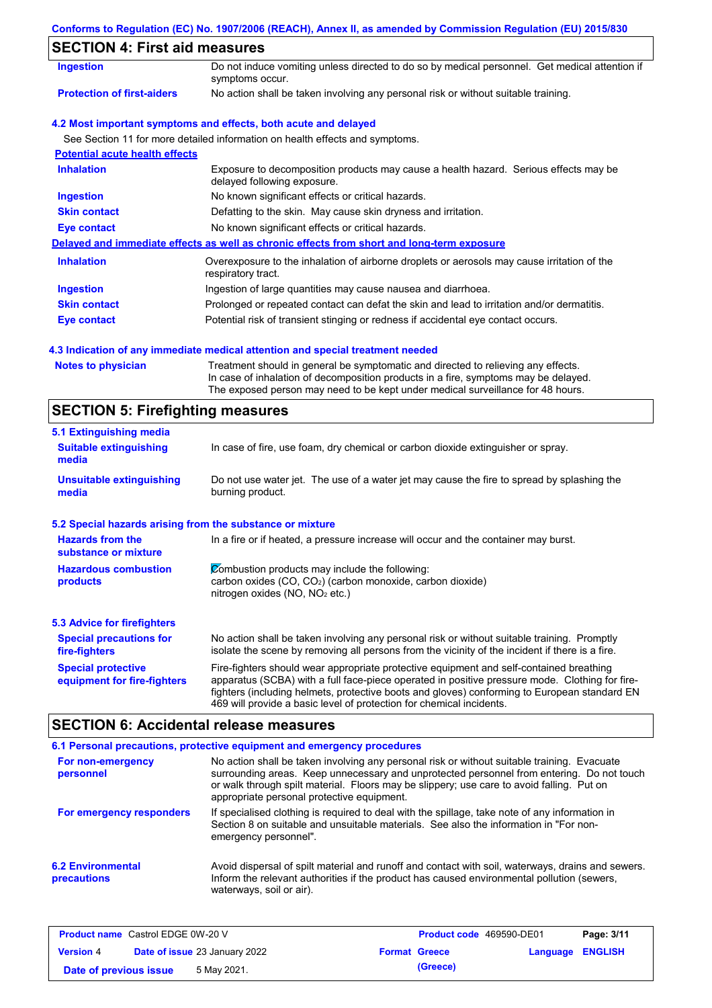|  |  | Conforms to Regulation (EC) No. 1907/2006 (REACH), Annex II, as amended by Commission Regulation (EU) 2015/830 |  |
|--|--|----------------------------------------------------------------------------------------------------------------|--|
|  |  |                                                                                                                |  |

## **SECTION 4: First aid measures**

| 3LV I IVIN 4. I II SL AIU IIIEASUI ES |                                                                                                                     |
|---------------------------------------|---------------------------------------------------------------------------------------------------------------------|
| <b>Ingestion</b>                      | Do not induce vomiting unless directed to do so by medical personnel. Get medical attention if<br>symptoms occur.   |
| <b>Protection of first-aiders</b>     | No action shall be taken involving any personal risk or without suitable training.                                  |
|                                       | 4.2 Most important symptoms and effects, both acute and delayed                                                     |
|                                       | See Section 11 for more detailed information on health effects and symptoms.                                        |
| <b>Potential acute health effects</b> |                                                                                                                     |
| <b>Inhalation</b>                     | Exposure to decomposition products may cause a health hazard. Serious effects may be<br>delayed following exposure. |
| <b>Ingestion</b>                      | No known significant effects or critical hazards.                                                                   |
| <b>Skin contact</b>                   | Defatting to the skin. May cause skin dryness and irritation.                                                       |
| Eye contact                           | No known significant effects or critical hazards.                                                                   |
|                                       | Delayed and immediate effects as well as chronic effects from short and long-term exposure                          |
| <b>Inhalation</b>                     | Overexposure to the inhalation of airborne droplets or aerosols may cause irritation of the<br>respiratory tract.   |
| <b>Ingestion</b>                      | Ingestion of large quantities may cause nausea and diarrhoea.                                                       |
| <b>Skin contact</b>                   | Prolonged or repeated contact can defat the skin and lead to irritation and/or dermatitis.                          |
| Eye contact                           | Potential risk of transient stinging or redness if accidental eye contact occurs.                                   |
|                                       |                                                                                                                     |

### **4.3 Indication of any immediate medical attention and special treatment needed**

| <b>Notes to physician</b> | Treati |
|---------------------------|--------|
|                           | In cas |
|                           |        |

Iment should in general be symptomatic and directed to relieving any effects. se of inhalation of decomposition products in a fire, symptoms may be delayed. The exposed person may need to be kept under medical surveillance for 48 hours.

# **SECTION 5: Firefighting measures**

| 5.1 Extinguishing media                                                                                                                                                                          |                                                                                                                                                                                                                                                                                                                                                                   |  |
|--------------------------------------------------------------------------------------------------------------------------------------------------------------------------------------------------|-------------------------------------------------------------------------------------------------------------------------------------------------------------------------------------------------------------------------------------------------------------------------------------------------------------------------------------------------------------------|--|
| In case of fire, use foam, dry chemical or carbon dioxide extinguisher or spray.<br><b>Suitable extinguishing</b><br>media                                                                       |                                                                                                                                                                                                                                                                                                                                                                   |  |
| <b>Unsuitable extinguishing</b><br>Do not use water jet. The use of a water jet may cause the fire to spread by splashing the<br>burning product.<br>media                                       |                                                                                                                                                                                                                                                                                                                                                                   |  |
| 5.2 Special hazards arising from the substance or mixture                                                                                                                                        |                                                                                                                                                                                                                                                                                                                                                                   |  |
| <b>Hazards from the</b><br>substance or mixture                                                                                                                                                  | In a fire or if heated, a pressure increase will occur and the container may burst.                                                                                                                                                                                                                                                                               |  |
| Combustion products may include the following:<br><b>Hazardous combustion</b><br>carbon oxides $(CO, CO2)$ (carbon monoxide, carbon dioxide)<br>products<br>nitrogen oxides ( $NO$ , $NO2$ etc.) |                                                                                                                                                                                                                                                                                                                                                                   |  |
| 5.3 Advice for firefighters                                                                                                                                                                      |                                                                                                                                                                                                                                                                                                                                                                   |  |
| <b>Special precautions for</b><br>fire-fighters                                                                                                                                                  | No action shall be taken involving any personal risk or without suitable training. Promptly<br>isolate the scene by removing all persons from the vicinity of the incident if there is a fire.                                                                                                                                                                    |  |
| <b>Special protective</b><br>equipment for fire-fighters                                                                                                                                         | Fire-fighters should wear appropriate protective equipment and self-contained breathing<br>apparatus (SCBA) with a full face-piece operated in positive pressure mode. Clothing for fire-<br>fighters (including helmets, protective boots and gloves) conforming to European standard EN<br>469 will provide a basic level of protection for chemical incidents. |  |

## **SECTION 6: Accidental release measures**

|                                                | 6.1 Personal precautions, protective equipment and emergency procedures                                                                                                                                                                                                                                                             |
|------------------------------------------------|-------------------------------------------------------------------------------------------------------------------------------------------------------------------------------------------------------------------------------------------------------------------------------------------------------------------------------------|
| For non-emergency<br>personnel                 | No action shall be taken involving any personal risk or without suitable training. Evacuate<br>surrounding areas. Keep unnecessary and unprotected personnel from entering. Do not touch<br>or walk through spilt material. Floors may be slippery; use care to avoid falling. Put on<br>appropriate personal protective equipment. |
| For emergency responders                       | If specialised clothing is required to deal with the spillage, take note of any information in<br>Section 8 on suitable and unsuitable materials. See also the information in "For non-<br>emergency personnel".                                                                                                                    |
| <b>6.2 Environmental</b><br><b>precautions</b> | Avoid dispersal of spilt material and runoff and contact with soil, waterways, drains and sewers.<br>Inform the relevant authorities if the product has caused environmental pollution (sewers,<br>waterways, soil or air).                                                                                                         |

| <b>Product name</b> Castrol EDGE 0W-20 V |                                      | <b>Product code</b> 469590-DE01 |                         | Page: 3/11 |
|------------------------------------------|--------------------------------------|---------------------------------|-------------------------|------------|
| <b>Version 4</b>                         | <b>Date of issue 23 January 2022</b> | <b>Format Greece</b>            | <b>Language ENGLISH</b> |            |
| Date of previous issue                   | 5 May 2021.                          | (Greece)                        |                         |            |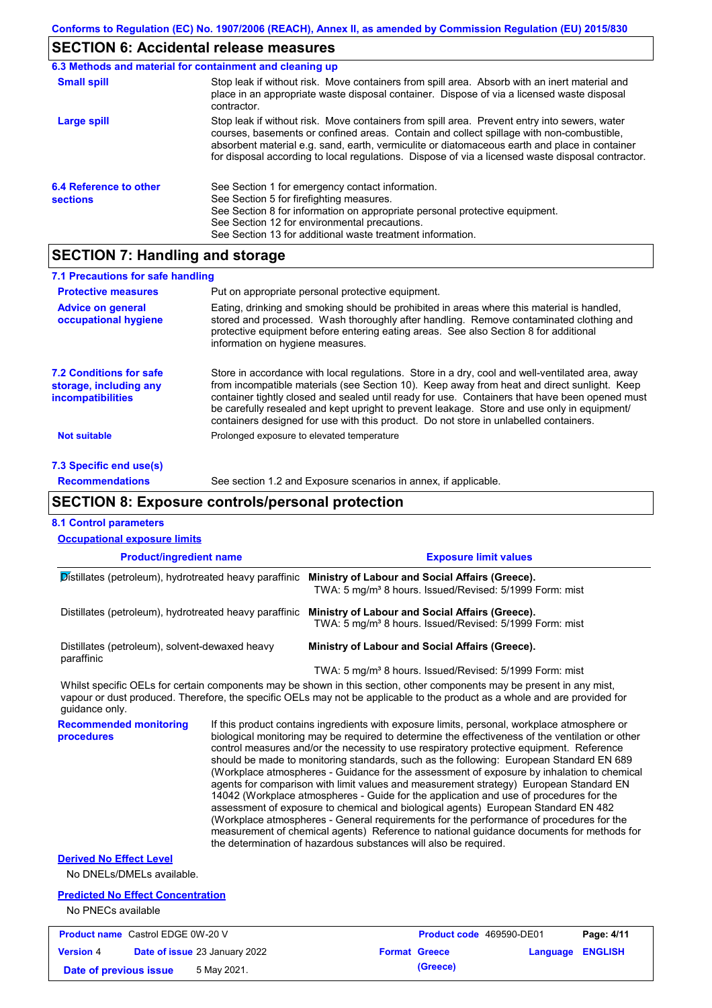## **SECTION 6: Accidental release measures**

|                                           | 6.3 Methods and material for containment and cleaning up                                                                                                                                                                                                                                                                                                                                       |
|-------------------------------------------|------------------------------------------------------------------------------------------------------------------------------------------------------------------------------------------------------------------------------------------------------------------------------------------------------------------------------------------------------------------------------------------------|
| <b>Small spill</b>                        | Stop leak if without risk. Move containers from spill area. Absorb with an inert material and<br>place in an appropriate waste disposal container. Dispose of via a licensed waste disposal<br>contractor.                                                                                                                                                                                     |
| Large spill                               | Stop leak if without risk. Move containers from spill area. Prevent entry into sewers, water<br>courses, basements or confined areas. Contain and collect spillage with non-combustible,<br>absorbent material e.g. sand, earth, vermiculite or diatomaceous earth and place in container<br>for disposal according to local regulations. Dispose of via a licensed waste disposal contractor. |
| 6.4 Reference to other<br><b>sections</b> | See Section 1 for emergency contact information.<br>See Section 5 for firefighting measures.<br>See Section 8 for information on appropriate personal protective equipment.<br>See Section 12 for environmental precautions.<br>See Section 13 for additional waste treatment information.                                                                                                     |

## **SECTION 7: Handling and storage**

| 7.1 Precautions for safe handling                                                    |                                                                                                                                                                                                                                                                                                                                                                                                                                                                                          |
|--------------------------------------------------------------------------------------|------------------------------------------------------------------------------------------------------------------------------------------------------------------------------------------------------------------------------------------------------------------------------------------------------------------------------------------------------------------------------------------------------------------------------------------------------------------------------------------|
| <b>Protective measures</b>                                                           | Put on appropriate personal protective equipment.                                                                                                                                                                                                                                                                                                                                                                                                                                        |
| <b>Advice on general</b><br>occupational hygiene                                     | Eating, drinking and smoking should be prohibited in areas where this material is handled,<br>stored and processed. Wash thoroughly after handling. Remove contaminated clothing and<br>protective equipment before entering eating areas. See also Section 8 for additional<br>information on hygiene measures.                                                                                                                                                                         |
| <b>7.2 Conditions for safe</b><br>storage, including any<br><b>incompatibilities</b> | Store in accordance with local regulations. Store in a dry, cool and well-ventilated area, away<br>from incompatible materials (see Section 10). Keep away from heat and direct sunlight. Keep<br>container tightly closed and sealed until ready for use. Containers that have been opened must<br>be carefully resealed and kept upright to prevent leakage. Store and use only in equipment/<br>containers designed for use with this product. Do not store in unlabelled containers. |
| <b>Not suitable</b>                                                                  | Prolonged exposure to elevated temperature                                                                                                                                                                                                                                                                                                                                                                                                                                               |
| 7.3 Specific end use(s)                                                              |                                                                                                                                                                                                                                                                                                                                                                                                                                                                                          |
| <b>Recommendations</b>                                                               | See section 1.2 and Exposure scenarios in annex, if applicable.                                                                                                                                                                                                                                                                                                                                                                                                                          |

### **SECTION 8: Exposure controls/personal protection**

| <b>8.1 Control parameters</b>                                                                                                                                                                                                                                          |                                                                                                                                                                                                                                                                                                                                                                                                                                                                                                                                                                                                                                                                                                                                                                                                                                                                                                                                                                                                                            |                                                                                                                                                                               |                            |  |
|------------------------------------------------------------------------------------------------------------------------------------------------------------------------------------------------------------------------------------------------------------------------|----------------------------------------------------------------------------------------------------------------------------------------------------------------------------------------------------------------------------------------------------------------------------------------------------------------------------------------------------------------------------------------------------------------------------------------------------------------------------------------------------------------------------------------------------------------------------------------------------------------------------------------------------------------------------------------------------------------------------------------------------------------------------------------------------------------------------------------------------------------------------------------------------------------------------------------------------------------------------------------------------------------------------|-------------------------------------------------------------------------------------------------------------------------------------------------------------------------------|----------------------------|--|
| <b>Occupational exposure limits</b>                                                                                                                                                                                                                                    |                                                                                                                                                                                                                                                                                                                                                                                                                                                                                                                                                                                                                                                                                                                                                                                                                                                                                                                                                                                                                            |                                                                                                                                                                               |                            |  |
| <b>Product/ingredient name</b>                                                                                                                                                                                                                                         |                                                                                                                                                                                                                                                                                                                                                                                                                                                                                                                                                                                                                                                                                                                                                                                                                                                                                                                                                                                                                            | <b>Exposure limit values</b>                                                                                                                                                  |                            |  |
|                                                                                                                                                                                                                                                                        |                                                                                                                                                                                                                                                                                                                                                                                                                                                                                                                                                                                                                                                                                                                                                                                                                                                                                                                                                                                                                            | Distillates (petroleum), hydrotreated heavy paraffinic Ministry of Labour and Social Affairs (Greece).<br>TWA: 5 mg/m <sup>3</sup> 8 hours. Issued/Revised: 5/1999 Form: mist |                            |  |
| Distillates (petroleum), hydrotreated heavy paraffinic                                                                                                                                                                                                                 |                                                                                                                                                                                                                                                                                                                                                                                                                                                                                                                                                                                                                                                                                                                                                                                                                                                                                                                                                                                                                            | Ministry of Labour and Social Affairs (Greece).<br>TWA: 5 mg/m <sup>3</sup> 8 hours. Issued/Revised: 5/1999 Form: mist                                                        |                            |  |
| Distillates (petroleum), solvent-dewaxed heavy<br>paraffinic                                                                                                                                                                                                           |                                                                                                                                                                                                                                                                                                                                                                                                                                                                                                                                                                                                                                                                                                                                                                                                                                                                                                                                                                                                                            | Ministry of Labour and Social Affairs (Greece).                                                                                                                               |                            |  |
|                                                                                                                                                                                                                                                                        |                                                                                                                                                                                                                                                                                                                                                                                                                                                                                                                                                                                                                                                                                                                                                                                                                                                                                                                                                                                                                            | TWA: 5 mg/m <sup>3</sup> 8 hours. Issued/Revised: 5/1999 Form: mist                                                                                                           |                            |  |
| Whilst specific OELs for certain components may be shown in this section, other components may be present in any mist,<br>vapour or dust produced. Therefore, the specific OELs may not be applicable to the product as a whole and are provided for<br>quidance only. |                                                                                                                                                                                                                                                                                                                                                                                                                                                                                                                                                                                                                                                                                                                                                                                                                                                                                                                                                                                                                            |                                                                                                                                                                               |                            |  |
| <b>Recommended monitoring</b><br>procedures                                                                                                                                                                                                                            | If this product contains ingredients with exposure limits, personal, workplace atmosphere or<br>biological monitoring may be required to determine the effectiveness of the ventilation or other<br>control measures and/or the necessity to use respiratory protective equipment. Reference<br>should be made to monitoring standards, such as the following: European Standard EN 689<br>(Workplace atmospheres - Guidance for the assessment of exposure by inhalation to chemical<br>agents for comparison with limit values and measurement strategy) European Standard EN<br>14042 (Workplace atmospheres - Guide for the application and use of procedures for the<br>assessment of exposure to chemical and biological agents) European Standard EN 482<br>(Workplace atmospheres - General requirements for the performance of procedures for the<br>measurement of chemical agents) Reference to national guidance documents for methods for<br>the determination of hazardous substances will also be required. |                                                                                                                                                                               |                            |  |
| <b>Derived No Effect Level</b><br>No DNELs/DMELs available.                                                                                                                                                                                                            |                                                                                                                                                                                                                                                                                                                                                                                                                                                                                                                                                                                                                                                                                                                                                                                                                                                                                                                                                                                                                            |                                                                                                                                                                               |                            |  |
| <b>Predicted No Effect Concentration</b><br>No PNECs available                                                                                                                                                                                                         |                                                                                                                                                                                                                                                                                                                                                                                                                                                                                                                                                                                                                                                                                                                                                                                                                                                                                                                                                                                                                            |                                                                                                                                                                               |                            |  |
| <b>Product name</b> Castrol EDGE 0W-20 V                                                                                                                                                                                                                               |                                                                                                                                                                                                                                                                                                                                                                                                                                                                                                                                                                                                                                                                                                                                                                                                                                                                                                                                                                                                                            | Product code 469590-DE01                                                                                                                                                      | Page: 4/11                 |  |
| <b>Version 4</b><br>Date of issue 23 January 2022<br>5 May 2021.<br>Date of previous issue                                                                                                                                                                             |                                                                                                                                                                                                                                                                                                                                                                                                                                                                                                                                                                                                                                                                                                                                                                                                                                                                                                                                                                                                                            | <b>Format Greece</b><br>(Greece)                                                                                                                                              | <b>ENGLISH</b><br>Language |  |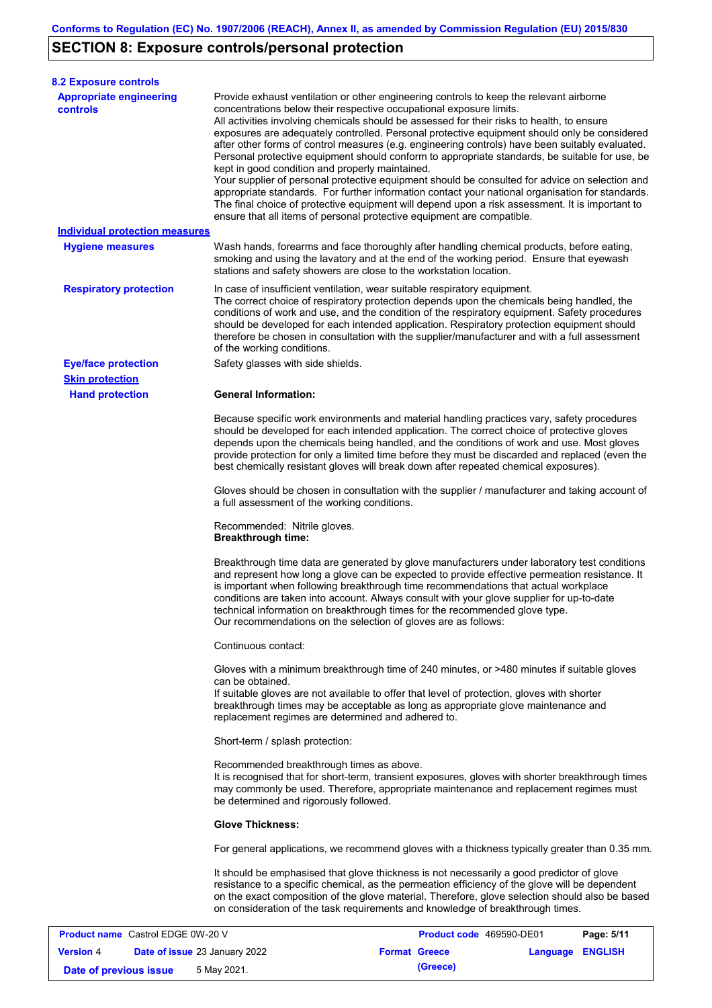# **SECTION 8: Exposure controls/personal protection**

**Version** 4

| <b>8.2 Exposure controls</b>                      |                                                                                                                                                                                                                                                                                                                                                                                                                                                                                                                                                                                                                                                                                                                                                                                                                                                                                                                                                                                                         |
|---------------------------------------------------|---------------------------------------------------------------------------------------------------------------------------------------------------------------------------------------------------------------------------------------------------------------------------------------------------------------------------------------------------------------------------------------------------------------------------------------------------------------------------------------------------------------------------------------------------------------------------------------------------------------------------------------------------------------------------------------------------------------------------------------------------------------------------------------------------------------------------------------------------------------------------------------------------------------------------------------------------------------------------------------------------------|
| <b>Appropriate engineering</b><br><b>controls</b> | Provide exhaust ventilation or other engineering controls to keep the relevant airborne<br>concentrations below their respective occupational exposure limits.<br>All activities involving chemicals should be assessed for their risks to health, to ensure<br>exposures are adequately controlled. Personal protective equipment should only be considered<br>after other forms of control measures (e.g. engineering controls) have been suitably evaluated.<br>Personal protective equipment should conform to appropriate standards, be suitable for use, be<br>kept in good condition and properly maintained.<br>Your supplier of personal protective equipment should be consulted for advice on selection and<br>appropriate standards. For further information contact your national organisation for standards.<br>The final choice of protective equipment will depend upon a risk assessment. It is important to<br>ensure that all items of personal protective equipment are compatible. |
| <b>Individual protection measures</b>             |                                                                                                                                                                                                                                                                                                                                                                                                                                                                                                                                                                                                                                                                                                                                                                                                                                                                                                                                                                                                         |
| <b>Hygiene measures</b>                           | Wash hands, forearms and face thoroughly after handling chemical products, before eating,<br>smoking and using the lavatory and at the end of the working period. Ensure that eyewash<br>stations and safety showers are close to the workstation location.                                                                                                                                                                                                                                                                                                                                                                                                                                                                                                                                                                                                                                                                                                                                             |
| <b>Respiratory protection</b>                     | In case of insufficient ventilation, wear suitable respiratory equipment.<br>The correct choice of respiratory protection depends upon the chemicals being handled, the<br>conditions of work and use, and the condition of the respiratory equipment. Safety procedures<br>should be developed for each intended application. Respiratory protection equipment should<br>therefore be chosen in consultation with the supplier/manufacturer and with a full assessment<br>of the working conditions.                                                                                                                                                                                                                                                                                                                                                                                                                                                                                                   |
| <b>Eye/face protection</b>                        | Safety glasses with side shields.                                                                                                                                                                                                                                                                                                                                                                                                                                                                                                                                                                                                                                                                                                                                                                                                                                                                                                                                                                       |
| <b>Skin protection</b>                            |                                                                                                                                                                                                                                                                                                                                                                                                                                                                                                                                                                                                                                                                                                                                                                                                                                                                                                                                                                                                         |
| <b>Hand protection</b>                            | <b>General Information:</b><br>Because specific work environments and material handling practices vary, safety procedures<br>should be developed for each intended application. The correct choice of protective gloves<br>depends upon the chemicals being handled, and the conditions of work and use. Most gloves<br>provide protection for only a limited time before they must be discarded and replaced (even the<br>best chemically resistant gloves will break down after repeated chemical exposures).                                                                                                                                                                                                                                                                                                                                                                                                                                                                                         |
|                                                   | Gloves should be chosen in consultation with the supplier / manufacturer and taking account of<br>a full assessment of the working conditions.                                                                                                                                                                                                                                                                                                                                                                                                                                                                                                                                                                                                                                                                                                                                                                                                                                                          |
|                                                   | Recommended: Nitrile gloves.<br><b>Breakthrough time:</b>                                                                                                                                                                                                                                                                                                                                                                                                                                                                                                                                                                                                                                                                                                                                                                                                                                                                                                                                               |
|                                                   | Breakthrough time data are generated by glove manufacturers under laboratory test conditions<br>and represent how long a glove can be expected to provide effective permeation resistance. It<br>is important when following breakthrough time recommendations that actual workplace<br>conditions are taken into account. Always consult with your glove supplier for up-to-date<br>technical information on breakthrough times for the recommended glove type.<br>Our recommendations on the selection of gloves are as follows:                                                                                                                                                                                                                                                                                                                                                                                                                                                                      |
|                                                   | Continuous contact:                                                                                                                                                                                                                                                                                                                                                                                                                                                                                                                                                                                                                                                                                                                                                                                                                                                                                                                                                                                     |
|                                                   | Gloves with a minimum breakthrough time of 240 minutes, or >480 minutes if suitable gloves<br>can be obtained.<br>If suitable gloves are not available to offer that level of protection, gloves with shorter<br>breakthrough times may be acceptable as long as appropriate glove maintenance and<br>replacement regimes are determined and adhered to.                                                                                                                                                                                                                                                                                                                                                                                                                                                                                                                                                                                                                                                |
|                                                   | Short-term / splash protection:                                                                                                                                                                                                                                                                                                                                                                                                                                                                                                                                                                                                                                                                                                                                                                                                                                                                                                                                                                         |
|                                                   | Recommended breakthrough times as above.<br>It is recognised that for short-term, transient exposures, gloves with shorter breakthrough times<br>may commonly be used. Therefore, appropriate maintenance and replacement regimes must<br>be determined and rigorously followed.                                                                                                                                                                                                                                                                                                                                                                                                                                                                                                                                                                                                                                                                                                                        |
|                                                   | <b>Glove Thickness:</b>                                                                                                                                                                                                                                                                                                                                                                                                                                                                                                                                                                                                                                                                                                                                                                                                                                                                                                                                                                                 |
|                                                   | For general applications, we recommend gloves with a thickness typically greater than 0.35 mm.                                                                                                                                                                                                                                                                                                                                                                                                                                                                                                                                                                                                                                                                                                                                                                                                                                                                                                          |
|                                                   | It should be emphasised that glove thickness is not necessarily a good predictor of glove<br>resistance to a specific chemical, as the permeation efficiency of the glove will be dependent<br>on the exact composition of the glove material. Therefore, glove selection should also be based<br>on consideration of the task requirements and knowledge of breakthrough times.                                                                                                                                                                                                                                                                                                                                                                                                                                                                                                                                                                                                                        |
| <b>Product name</b> Castrol EDGE 0W-20 V          | Page: 5/11<br>Product code 469590-DE01                                                                                                                                                                                                                                                                                                                                                                                                                                                                                                                                                                                                                                                                                                                                                                                                                                                                                                                                                                  |

**Date of issue** 23 January 2022 **Format Greece Language ENGLISH** 

**Date of previous issue 6 May 2021. (Greece) (Greece)**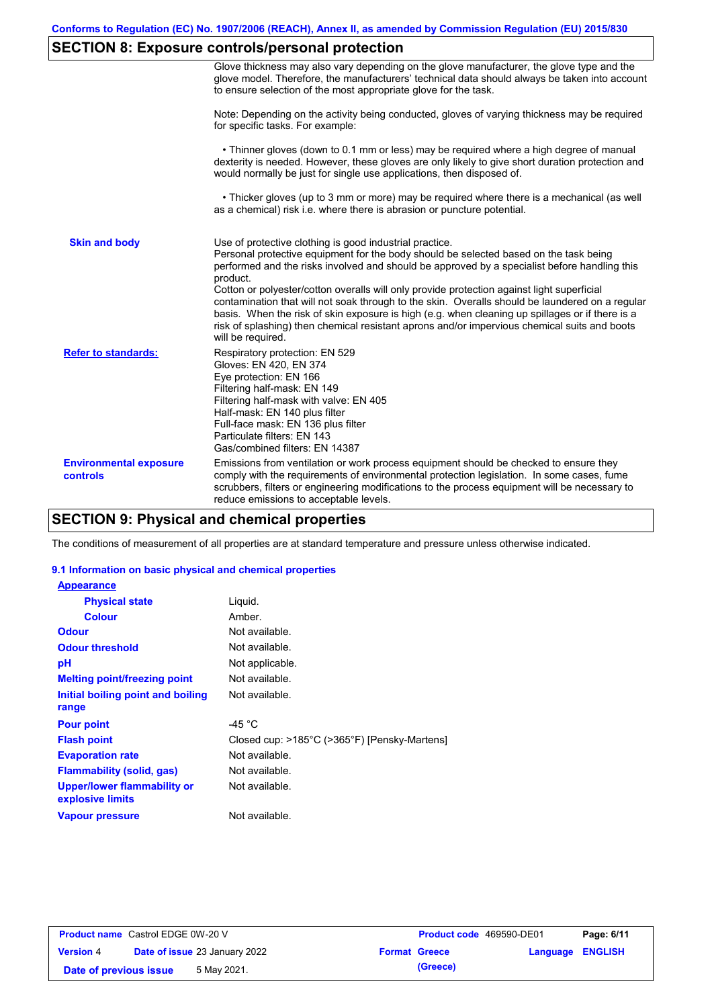# **SECTION 8: Exposure controls/personal protection**

|                                           | Glove thickness may also vary depending on the glove manufacturer, the glove type and the<br>glove model. Therefore, the manufacturers' technical data should always be taken into account<br>to ensure selection of the most appropriate glove for the task.                                                                                                                                                                                                                                                                                                                                                                                                                         |
|-------------------------------------------|---------------------------------------------------------------------------------------------------------------------------------------------------------------------------------------------------------------------------------------------------------------------------------------------------------------------------------------------------------------------------------------------------------------------------------------------------------------------------------------------------------------------------------------------------------------------------------------------------------------------------------------------------------------------------------------|
|                                           | Note: Depending on the activity being conducted, gloves of varying thickness may be required<br>for specific tasks. For example:                                                                                                                                                                                                                                                                                                                                                                                                                                                                                                                                                      |
|                                           | • Thinner gloves (down to 0.1 mm or less) may be required where a high degree of manual<br>dexterity is needed. However, these gloves are only likely to give short duration protection and<br>would normally be just for single use applications, then disposed of.                                                                                                                                                                                                                                                                                                                                                                                                                  |
|                                           | • Thicker gloves (up to 3 mm or more) may be required where there is a mechanical (as well<br>as a chemical) risk i.e. where there is abrasion or puncture potential.                                                                                                                                                                                                                                                                                                                                                                                                                                                                                                                 |
| <b>Skin and body</b>                      | Use of protective clothing is good industrial practice.<br>Personal protective equipment for the body should be selected based on the task being<br>performed and the risks involved and should be approved by a specialist before handling this<br>product.<br>Cotton or polyester/cotton overalls will only provide protection against light superficial<br>contamination that will not soak through to the skin. Overalls should be laundered on a regular<br>basis. When the risk of skin exposure is high (e.g. when cleaning up spillages or if there is a<br>risk of splashing) then chemical resistant aprons and/or impervious chemical suits and boots<br>will be required. |
| <b>Refer to standards:</b>                | Respiratory protection: EN 529<br>Gloves: EN 420, EN 374<br>Eye protection: EN 166<br>Filtering half-mask: EN 149<br>Filtering half-mask with valve: EN 405<br>Half-mask: EN 140 plus filter<br>Full-face mask: EN 136 plus filter<br>Particulate filters: EN 143<br>Gas/combined filters: EN 14387                                                                                                                                                                                                                                                                                                                                                                                   |
| <b>Environmental exposure</b><br>controls | Emissions from ventilation or work process equipment should be checked to ensure they<br>comply with the requirements of environmental protection legislation. In some cases, fume<br>scrubbers, filters or engineering modifications to the process equipment will be necessary to<br>reduce emissions to acceptable levels.                                                                                                                                                                                                                                                                                                                                                         |

## **SECTION 9: Physical and chemical properties**

The conditions of measurement of all properties are at standard temperature and pressure unless otherwise indicated.

### **9.1 Information on basic physical and chemical properties**

| <b>Appearance</b>                                      |                                              |
|--------------------------------------------------------|----------------------------------------------|
| <b>Physical state</b>                                  | Liguid.                                      |
| <b>Colour</b>                                          | Amber.                                       |
| <b>Odour</b>                                           | Not available.                               |
| <b>Odour threshold</b>                                 | Not available.                               |
| рH                                                     | Not applicable.                              |
| <b>Melting point/freezing point</b>                    | Not available.                               |
| Initial boiling point and boiling                      | Not available.                               |
| range                                                  |                                              |
| <b>Pour point</b>                                      | -45 $^{\circ}$ C                             |
| <b>Flash point</b>                                     | Closed cup: >185°C (>365°F) [Pensky-Martens] |
| <b>Evaporation rate</b>                                | Not available.                               |
| <b>Flammability (solid, gas)</b>                       | Not available.                               |
| <b>Upper/lower flammability or</b><br>explosive limits | Not available.                               |
| <b>Vapour pressure</b>                                 | Not available.                               |

| <b>Product name</b> Castrol EDGE 0W-20 V |                                      | <b>Product code</b> 469590-DE01 |                         | Page: 6/11 |
|------------------------------------------|--------------------------------------|---------------------------------|-------------------------|------------|
| <b>Version 4</b>                         | <b>Date of issue 23 January 2022</b> | <b>Format Greece</b>            | <b>Language ENGLISH</b> |            |
| Date of previous issue                   | 5 May 2021.                          | (Greece)                        |                         |            |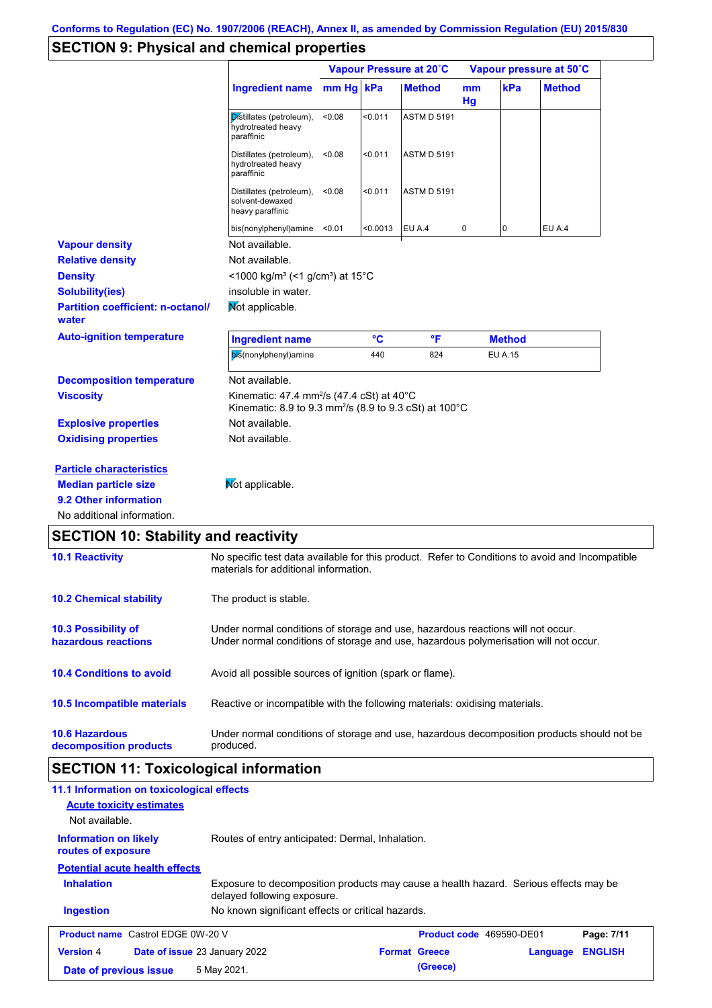## **SECTION 9: Physical and chemical properties**

|                                                                                                                       |                                                                                                                                          |           |          | Vapour Pressure at 20°C |          |                | Vapour pressure at 50°C |
|-----------------------------------------------------------------------------------------------------------------------|------------------------------------------------------------------------------------------------------------------------------------------|-----------|----------|-------------------------|----------|----------------|-------------------------|
|                                                                                                                       | <b>Ingredient name</b>                                                                                                                   | mm Hg kPa |          | <b>Method</b>           | mm<br>Hg | kPa            | <b>Method</b>           |
|                                                                                                                       | Distillates (petroleum),<br>hydrotreated heavy<br>paraffinic                                                                             | < 0.08    | < 0.011  | <b>ASTM D 5191</b>      |          |                |                         |
|                                                                                                                       | Distillates (petroleum),<br>hydrotreated heavy<br>paraffinic                                                                             | < 0.08    | < 0.011  | <b>ASTM D 5191</b>      |          |                |                         |
|                                                                                                                       | Distillates (petroleum),<br>solvent-dewaxed<br>heavy paraffinic                                                                          | < 0.08    | < 0.011  | <b>ASTM D 5191</b>      |          |                |                         |
|                                                                                                                       | bis(nonylphenyl)amine <0.01                                                                                                              |           | < 0.0013 | EU A.4                  | 0        | 0              | EU A.4                  |
| <b>Vapour density</b>                                                                                                 | Not available.                                                                                                                           |           |          |                         |          |                |                         |
| <b>Relative density</b>                                                                                               | Not available.                                                                                                                           |           |          |                         |          |                |                         |
| <b>Density</b>                                                                                                        | $<$ 1000 kg/m <sup>3</sup> (<1 g/cm <sup>3</sup> ) at 15 <sup>°</sup> C                                                                  |           |          |                         |          |                |                         |
| <b>Solubility(ies)</b>                                                                                                | insoluble in water.                                                                                                                      |           |          |                         |          |                |                         |
| <b>Partition coefficient: n-octanol/</b><br>water                                                                     | Mot applicable.                                                                                                                          |           |          |                         |          |                |                         |
| <b>Auto-ignition temperature</b>                                                                                      | <b>Ingredient name</b>                                                                                                                   |           | °C       | $\mathsf{P}$            |          | <b>Method</b>  |                         |
|                                                                                                                       | bis(nonylphenyl)amine                                                                                                                    |           | 440      | 824                     |          | <b>EU A.15</b> |                         |
| <b>Decomposition temperature</b>                                                                                      | Not available.                                                                                                                           |           |          |                         |          |                |                         |
| <b>Viscosity</b>                                                                                                      | Kinematic: 47.4 mm <sup>2</sup> /s (47.4 cSt) at 40°C<br>Kinematic: 8.9 to 9.3 mm <sup>2</sup> /s (8.9 to 9.3 cSt) at 100°C              |           |          |                         |          |                |                         |
| <b>Explosive properties</b>                                                                                           | Not available.                                                                                                                           |           |          |                         |          |                |                         |
| <b>Oxidising properties</b>                                                                                           | Not available.                                                                                                                           |           |          |                         |          |                |                         |
| <b>Particle characteristics</b><br><b>Median particle size</b><br>9.2 Other information<br>No additional information. | Mot applicable.                                                                                                                          |           |          |                         |          |                |                         |
| <b>SECTION 10: Stability and reactivity</b>                                                                           |                                                                                                                                          |           |          |                         |          |                |                         |
| <b>10.1 Reactivity</b>                                                                                                | No specific test data available for this product. Refer to Conditions to avoid and Incompatible<br>materials for additional information. |           |          |                         |          |                |                         |
| <b>10.2 Chemical stability</b>                                                                                        | The product is stable.                                                                                                                   |           |          |                         |          |                |                         |
|                                                                                                                       |                                                                                                                                          |           |          |                         |          |                |                         |

**10.4 Conditions to avoid** Avoid all possible sources of ignition (spark or flame).

| 10.5 Incompatible materials | Reactive or incompatible with the following materials: oxidising materials. |
|-----------------------------|-----------------------------------------------------------------------------|
|-----------------------------|-----------------------------------------------------------------------------|

**10.6 Hazardous decomposition products** Under normal conditions of storage and use, hazardous decomposition products should not be produced.

## **SECTION 11: Toxicological information**

| 11.1 Information on toxicological effects                |                                                                                                                     |                                 |          |                |
|----------------------------------------------------------|---------------------------------------------------------------------------------------------------------------------|---------------------------------|----------|----------------|
| <b>Acute toxicity estimates</b>                          |                                                                                                                     |                                 |          |                |
| Not available.                                           |                                                                                                                     |                                 |          |                |
| <b>Information on likely</b><br>routes of exposure       | Routes of entry anticipated: Dermal, Inhalation.                                                                    |                                 |          |                |
| <b>Potential acute health effects</b>                    |                                                                                                                     |                                 |          |                |
| <b>Inhalation</b>                                        | Exposure to decomposition products may cause a health hazard. Serious effects may be<br>delayed following exposure. |                                 |          |                |
| <b>Ingestion</b>                                         | No known significant effects or critical hazards.                                                                   |                                 |          |                |
| <b>Product name</b> Castrol EDGE 0W-20 V                 |                                                                                                                     | <b>Product code</b> 469590-DE01 |          | Page: 7/11     |
| <b>Version 4</b><br><b>Date of issue 23 January 2022</b> |                                                                                                                     | <b>Format Greece</b>            | Language | <b>ENGLISH</b> |
| Date of previous issue                                   | 5 May 2021.                                                                                                         | (Greece)                        |          |                |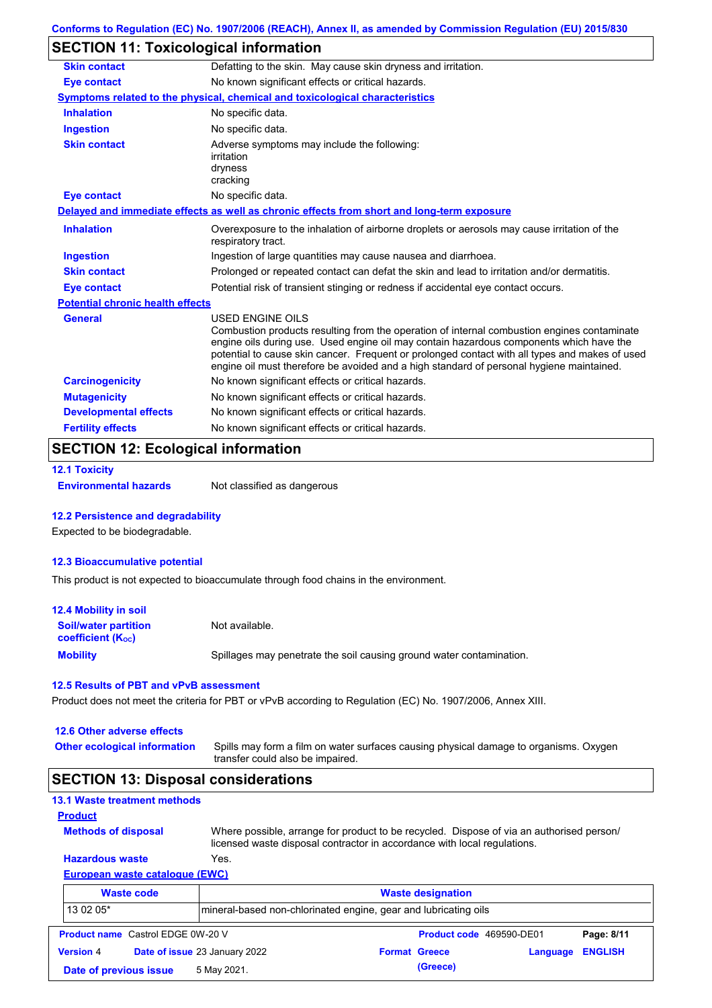## **SECTION 11: Toxicological information**

| <b>Skin contact</b>                     | Defatting to the skin. May cause skin dryness and irritation.                                                                                                                                                                                                                                                                                                                                                   |
|-----------------------------------------|-----------------------------------------------------------------------------------------------------------------------------------------------------------------------------------------------------------------------------------------------------------------------------------------------------------------------------------------------------------------------------------------------------------------|
| <b>Eye contact</b>                      | No known significant effects or critical hazards.                                                                                                                                                                                                                                                                                                                                                               |
|                                         | Symptoms related to the physical, chemical and toxicological characteristics                                                                                                                                                                                                                                                                                                                                    |
| <b>Inhalation</b>                       | No specific data.                                                                                                                                                                                                                                                                                                                                                                                               |
| <b>Ingestion</b>                        | No specific data.                                                                                                                                                                                                                                                                                                                                                                                               |
| <b>Skin contact</b>                     | Adverse symptoms may include the following:<br>irritation<br>dryness<br>cracking                                                                                                                                                                                                                                                                                                                                |
| <b>Eye contact</b>                      | No specific data.                                                                                                                                                                                                                                                                                                                                                                                               |
|                                         | Delayed and immediate effects as well as chronic effects from short and long-term exposure                                                                                                                                                                                                                                                                                                                      |
| <b>Inhalation</b>                       | Overexposure to the inhalation of airborne droplets or aerosols may cause irritation of the<br>respiratory tract.                                                                                                                                                                                                                                                                                               |
| <b>Ingestion</b>                        | Ingestion of large quantities may cause nausea and diarrhoea.                                                                                                                                                                                                                                                                                                                                                   |
| <b>Skin contact</b>                     | Prolonged or repeated contact can defat the skin and lead to irritation and/or dermatitis.                                                                                                                                                                                                                                                                                                                      |
| <b>Eye contact</b>                      | Potential risk of transient stinging or redness if accidental eye contact occurs.                                                                                                                                                                                                                                                                                                                               |
| <b>Potential chronic health effects</b> |                                                                                                                                                                                                                                                                                                                                                                                                                 |
| <b>General</b>                          | <b>USED ENGINE OILS</b><br>Combustion products resulting from the operation of internal combustion engines contaminate<br>engine oils during use. Used engine oil may contain hazardous components which have the<br>potential to cause skin cancer. Frequent or prolonged contact with all types and makes of used<br>engine oil must therefore be avoided and a high standard of personal hygiene maintained. |
| <b>Carcinogenicity</b>                  | No known significant effects or critical hazards.                                                                                                                                                                                                                                                                                                                                                               |
| <b>Mutagenicity</b>                     | No known significant effects or critical hazards.                                                                                                                                                                                                                                                                                                                                                               |
| <b>Developmental effects</b>            | No known significant effects or critical hazards.                                                                                                                                                                                                                                                                                                                                                               |
|                                         |                                                                                                                                                                                                                                                                                                                                                                                                                 |

### **SECTION 12: Ecological information**

```
12.1 Toxicity
```
**Environmental hazards** Not classified as dangerous

### **12.2 Persistence and degradability**

Expected to be biodegradable.

### **12.3 Bioaccumulative potential**

This product is not expected to bioaccumulate through food chains in the environment.

| <b>12.4 Mobility in soil</b>                            |                                                                      |
|---------------------------------------------------------|----------------------------------------------------------------------|
| <b>Soil/water partition</b><br><b>coefficient (Koc)</b> | Not available.                                                       |
| <b>Mobility</b>                                         | Spillages may penetrate the soil causing ground water contamination. |

#### **12.5 Results of PBT and vPvB assessment**

Product does not meet the criteria for PBT or vPvB according to Regulation (EC) No. 1907/2006, Annex XIII.

| 12.6 Other adverse effects |  |
|----------------------------|--|
|----------------------------|--|

**Other ecological information**

Spills may form a film on water surfaces causing physical damage to organisms. Oxygen transfer could also be impaired.

### **SECTION 13: Disposal considerations**

|  | <b>13.1 Waste treatment methods</b> |  |
|--|-------------------------------------|--|
|  |                                     |  |

```
Methods of disposal
Product
```
**Hazardous waste** Yes. Where possible, arrange for product to be recycled. Dispose of via an authorised person/ licensed waste disposal contractor in accordance with local regulations.

### **European waste catalogue (EWC)**

|                        | <b>Waste code</b>                        | <b>Waste designation</b>                                         |  |                      |                          |                |
|------------------------|------------------------------------------|------------------------------------------------------------------|--|----------------------|--------------------------|----------------|
| 13 02 05*              |                                          | Imineral-based non-chlorinated engine, gear and lubricating oils |  |                      |                          |                |
|                        | <b>Product name</b> Castrol EDGE 0W-20 V |                                                                  |  |                      | Product code 469590-DE01 | Page: 8/11     |
| <b>Version 4</b>       |                                          | Date of issue 23 January 2022                                    |  | <b>Format Greece</b> | Language                 | <b>ENGLISH</b> |
| Date of previous issue |                                          | 5 May 2021.                                                      |  | (Greece)             |                          |                |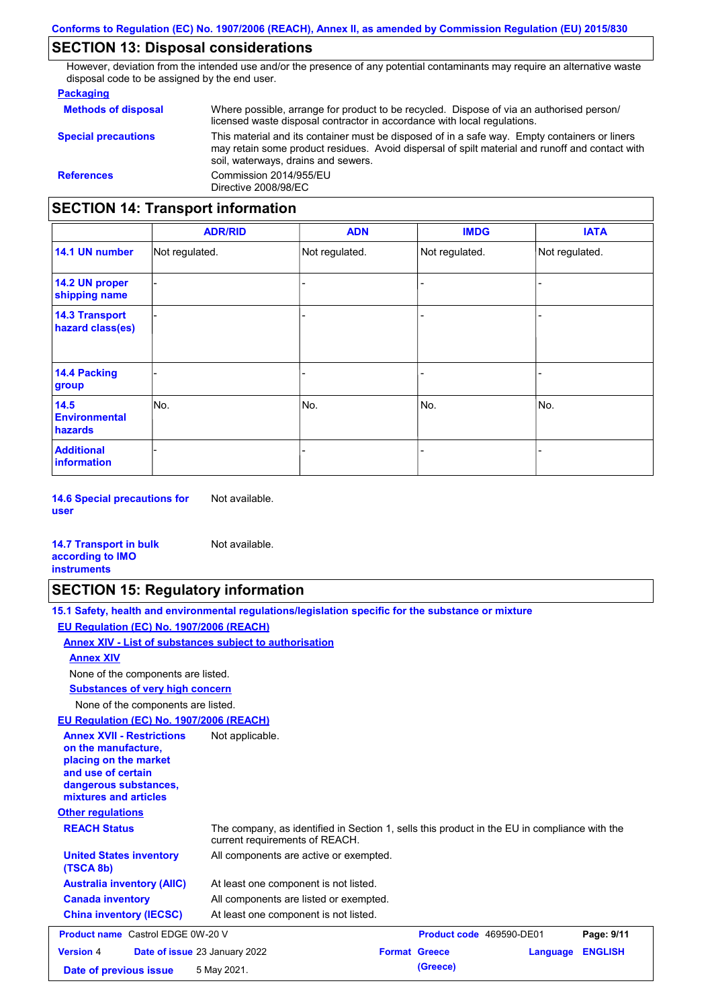### **SECTION 13: Disposal considerations**

However, deviation from the intended use and/or the presence of any potential contaminants may require an alternative waste disposal code to be assigned by the end user.

#### **Packaging**

| <b>Methods of disposal</b>               | Where possible, arrange for product to be recycled. Dispose of via an authorised person/<br>licensed waste disposal contractor in accordance with local regulations.                                                                    |  |  |  |
|------------------------------------------|-----------------------------------------------------------------------------------------------------------------------------------------------------------------------------------------------------------------------------------------|--|--|--|
| <b>Special precautions</b>               | This material and its container must be disposed of in a safe way. Empty containers or liners<br>may retain some product residues. Avoid dispersal of spilt material and runoff and contact with<br>soil, waterways, drains and sewers. |  |  |  |
| <b>References</b>                        | Commission 2014/955/EU<br>Directive 2008/98/EC                                                                                                                                                                                          |  |  |  |
| <b>SECTION 14: Transport information</b> |                                                                                                                                                                                                                                         |  |  |  |

#### - - - - - - - - - Not regulated. Not regulated. Not regulated. - - - **ADR/RID IMDG IATA 14.1 UN number 14.2 UN proper shipping name 14.3 Transport hazard class(es) 14.4 Packing group ADN Additional information 14.5 Environmental hazards** No. 1980 | No. 1980 | No. 1980 | No. 1980 | No. 1980 | No. 1980 | No. 1980 | No. 1980 | No. 1980 | No. 1980 | Not regulated. - No. - -

**14.6 Special precautions for user** Not available.

#### **14.7 Transport in bulk according to IMO instruments**

## **SECTION 15: Regulatory information**

Not available.

| 15.1 Safety, health and environmental regulations/legislation specific for the substance or mixture                                                                         |
|-----------------------------------------------------------------------------------------------------------------------------------------------------------------------------|
| EU Regulation (EC) No. 1907/2006 (REACH)                                                                                                                                    |
| Annex XIV - List of substances subject to authorisation                                                                                                                     |
| <b>Annex XIV</b>                                                                                                                                                            |
| None of the components are listed.                                                                                                                                          |
| <b>Substances of very high concern</b>                                                                                                                                      |
| None of the components are listed.                                                                                                                                          |
| EU Regulation (EC) No. 1907/2006 (REACH)                                                                                                                                    |
| <b>Annex XVII - Restrictions</b><br>Not applicable.<br>on the manufacture,<br>placing on the market<br>and use of certain<br>dangerous substances,<br>mixtures and articles |
| <b>Other regulations</b>                                                                                                                                                    |
|                                                                                                                                                                             |

**REACH Status** The company, as identified in Section 1, sells this product in the EU in compliance with the

|                                             | current requirements of REACH.         |
|---------------------------------------------|----------------------------------------|
| <b>United States inventory</b><br>(TSCA 8b) | All components are active or exempted. |
| <b>Australia inventory (AIIC)</b>           | At least one component is not listed.  |
| <b>Canada inventory</b>                     | All components are listed or exempted. |
| <b>China inventory (IECSC)</b>              | At least one component is not listed.  |

| <b>Product name</b> Castrol EDGE 0W-20 V                 |  |             | <b>Product code</b> 469590-DE01 |                         | Page: 9/11 |  |
|----------------------------------------------------------|--|-------------|---------------------------------|-------------------------|------------|--|
| <b>Date of issue 23 January 2022</b><br><b>Version 4</b> |  |             | <b>Format Greece</b>            | <b>Language ENGLISH</b> |            |  |
| Date of previous issue                                   |  | 5 May 2021. |                                 | (Greece)                |            |  |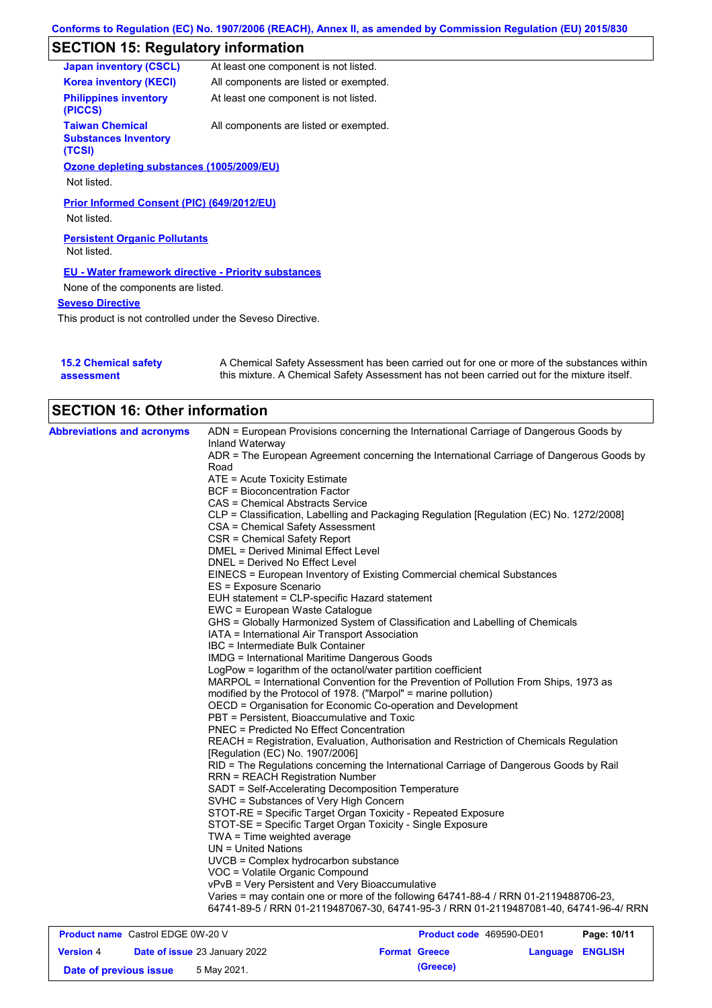# **SECTION 15: Regulatory information**

| <b>Japan inventory (CSCL)</b>                                   | At least one component is not listed.  |
|-----------------------------------------------------------------|----------------------------------------|
| <b>Korea inventory (KECI)</b>                                   | All components are listed or exempted. |
| <b>Philippines inventory</b><br>(PICCS)                         | At least one component is not listed.  |
| <b>Taiwan Chemical</b><br><b>Substances Inventory</b><br>(TCSI) | All components are listed or exempted. |
| Ozone depleting substances (1005/2009/EU)                       |                                        |
| Not listed.                                                     |                                        |
| Prior Informed Consent (PIC) (649/2012/EU)<br>Not listed.       |                                        |
| <b>Persistent Organic Pollutants</b><br>Not listed.             |                                        |
| <b>EU - Water framework directive - Priority substances</b>     |                                        |
| None of the components are listed.                              |                                        |
| <b>Seveso Directive</b>                                         |                                        |
|                                                                 |                                        |

This product is not controlled under the Seveso Directive.

| 15.2 Chemical safety | A Chemical Safety Assessment has been carried out for one or more of the substances within  |
|----------------------|---------------------------------------------------------------------------------------------|
| assessment           | this mixture. A Chemical Safety Assessment has not been carried out for the mixture itself. |

| <b>SECTION 16: Other information</b>     |                                                                                                          |
|------------------------------------------|----------------------------------------------------------------------------------------------------------|
| <b>Abbreviations and acronyms</b>        | ADN = European Provisions concerning the International Carriage of Dangerous Goods by<br>Inland Waterway |
|                                          | ADR = The European Agreement concerning the International Carriage of Dangerous Goods by                 |
|                                          | Road                                                                                                     |
|                                          | ATE = Acute Toxicity Estimate                                                                            |
|                                          | <b>BCF = Bioconcentration Factor</b>                                                                     |
|                                          | CAS = Chemical Abstracts Service                                                                         |
|                                          | CLP = Classification, Labelling and Packaging Regulation [Regulation (EC) No. 1272/2008]                 |
|                                          | CSA = Chemical Safety Assessment                                                                         |
|                                          | CSR = Chemical Safety Report                                                                             |
|                                          | DMEL = Derived Minimal Effect Level                                                                      |
|                                          | DNEL = Derived No Effect Level                                                                           |
|                                          |                                                                                                          |
|                                          | EINECS = European Inventory of Existing Commercial chemical Substances                                   |
|                                          | ES = Exposure Scenario                                                                                   |
|                                          | EUH statement = CLP-specific Hazard statement                                                            |
|                                          | EWC = European Waste Catalogue                                                                           |
|                                          | GHS = Globally Harmonized System of Classification and Labelling of Chemicals                            |
|                                          | IATA = International Air Transport Association                                                           |
|                                          | IBC = Intermediate Bulk Container                                                                        |
|                                          | <b>IMDG</b> = International Maritime Dangerous Goods                                                     |
|                                          | LogPow = logarithm of the octanol/water partition coefficient                                            |
|                                          | MARPOL = International Convention for the Prevention of Pollution From Ships, 1973 as                    |
|                                          | modified by the Protocol of 1978. ("Marpol" = marine pollution)                                          |
|                                          | OECD = Organisation for Economic Co-operation and Development                                            |
|                                          | PBT = Persistent, Bioaccumulative and Toxic                                                              |
|                                          | PNEC = Predicted No Effect Concentration                                                                 |
|                                          | REACH = Registration, Evaluation, Authorisation and Restriction of Chemicals Regulation                  |
|                                          | [Regulation (EC) No. 1907/2006]                                                                          |
|                                          | RID = The Regulations concerning the International Carriage of Dangerous Goods by Rail                   |
|                                          | <b>RRN = REACH Registration Number</b>                                                                   |
|                                          | SADT = Self-Accelerating Decomposition Temperature                                                       |
|                                          | SVHC = Substances of Very High Concern                                                                   |
|                                          | STOT-RE = Specific Target Organ Toxicity - Repeated Exposure                                             |
|                                          | STOT-SE = Specific Target Organ Toxicity - Single Exposure                                               |
|                                          | $TWA = Time weighted average$                                                                            |
|                                          | UN = United Nations                                                                                      |
|                                          | UVCB = Complex hydrocarbon substance                                                                     |
|                                          | VOC = Volatile Organic Compound                                                                          |
|                                          | vPvB = Very Persistent and Very Bioaccumulative                                                          |
|                                          | Varies = may contain one or more of the following 64741-88-4 / RRN 01-2119488706-23,                     |
|                                          | 64741-89-5 / RRN 01-2119487067-30, 64741-95-3 / RRN 01-2119487081-40, 64741-96-4/ RRN                    |
|                                          |                                                                                                          |
| <b>Product name</b> Castrol EDGE 0W-20 V | <b>Product code</b> 469590-DF01<br>Page: 10/11                                                           |

| <b>Product name</b> Castrol EDGE 0W-20 V |  |                                      | <b>Product code</b> 469590-DE01 |          | Page: 10/11      |  |
|------------------------------------------|--|--------------------------------------|---------------------------------|----------|------------------|--|
| <b>Version 4</b>                         |  | <b>Date of issue 23 January 2022</b> | <b>Format Greece</b>            |          | Language ENGLISH |  |
| Date of previous issue                   |  | 5 May 2021.                          |                                 | (Greece) |                  |  |